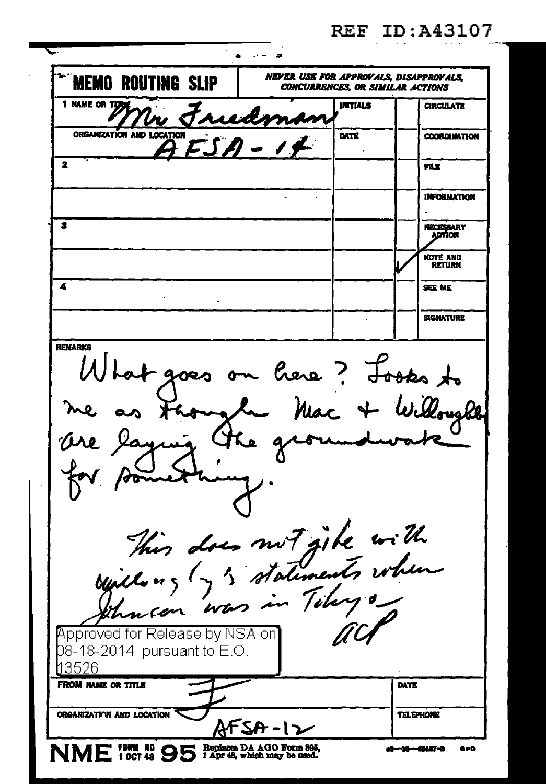| <b>REF ID: A43107</b> |  |  |  |  |  |
|-----------------------|--|--|--|--|--|
|                       |  |  |  |  |  |

| <b>MEMO ROUTING SLIP</b>                                                                                                                                                                                                                                               | NEVER USE FOR APPROVALS, DISAPPROVALS,<br><b>CONCURRENCES. OR SIMILAR ACTIONS</b> |          |                            |                            |  |  |  |
|------------------------------------------------------------------------------------------------------------------------------------------------------------------------------------------------------------------------------------------------------------------------|-----------------------------------------------------------------------------------|----------|----------------------------|----------------------------|--|--|--|
| 1 NAME OR TURN                                                                                                                                                                                                                                                         | Friedman                                                                          | INITIALS |                            | CIRCULATE                  |  |  |  |
| ORGANIZATION AND LOCATION<br>$AFSA-14$                                                                                                                                                                                                                                 |                                                                                   | DATE     |                            | <b>COORDINATION</b>        |  |  |  |
| 2                                                                                                                                                                                                                                                                      |                                                                                   |          |                            | FILE                       |  |  |  |
|                                                                                                                                                                                                                                                                        |                                                                                   |          |                            | <b>INFORMATION</b>         |  |  |  |
| 3                                                                                                                                                                                                                                                                      |                                                                                   |          |                            | NECESSARY<br><b>ADTION</b> |  |  |  |
|                                                                                                                                                                                                                                                                        |                                                                                   |          |                            | note and<br><b>RETURN</b>  |  |  |  |
| 4                                                                                                                                                                                                                                                                      |                                                                                   |          |                            | <b>SEE ME</b>              |  |  |  |
|                                                                                                                                                                                                                                                                        |                                                                                   |          |                            | <b>SIGNATURE</b>           |  |  |  |
| <b>REMARKS</b><br>What goes on here? Looks to<br>me as though Mac + Willought<br>Ore laying the groundwate<br>something<br>This does not gike with<br>mis and statements when<br>hacen<br>wa<br>Approved for Release by NSA on]<br>08-18-2014 pursuant to E.O.<br>3526 |                                                                                   |          |                            |                            |  |  |  |
| FROM NAME OR TITLE                                                                                                                                                                                                                                                     |                                                                                   |          | DATE                       |                            |  |  |  |
| ORGANIZATION AND LOCATION                                                                                                                                                                                                                                              | <u> SA-12</u>                                                                     |          |                            | <b>TELEPHONE</b>           |  |  |  |
| NME 10CT 48 95 Replaces DA AGO Form 895,                                                                                                                                                                                                                               |                                                                                   |          | o6—16 <del>—13</del> 437-3 | GPD                        |  |  |  |